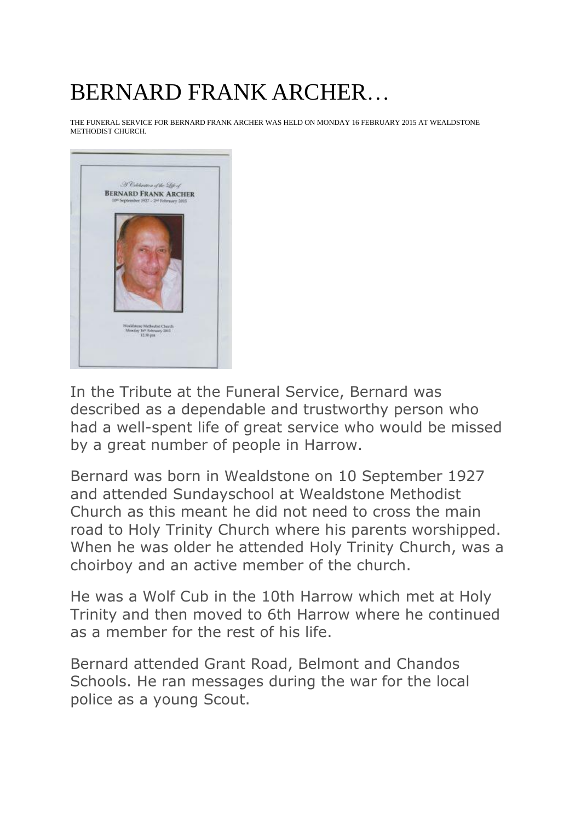## BERNARD FRANK ARCHER…

THE FUNERAL SERVICE FOR BERNARD FRANK ARCHER WAS HELD ON MONDAY 16 FEBRUARY 2015 AT WEALDSTONE METHODIST CHURCH.



In the Tribute at the Funeral Service, Bernard was described as a dependable and trustworthy person who had a well-spent life of great service who would be missed by a great number of people in Harrow.

Bernard was born in Wealdstone on 10 September 1927 and attended Sundayschool at Wealdstone Methodist Church as this meant he did not need to cross the main road to Holy Trinity Church where his parents worshipped. When he was older he attended Holy Trinity Church, was a choirboy and an active member of the church.

He was a Wolf Cub in the 10th Harrow which met at Holy Trinity and then moved to 6th Harrow where he continued as a member for the rest of his life.

Bernard attended Grant Road, Belmont and Chandos Schools. He ran messages during the war for the local police as a young Scout.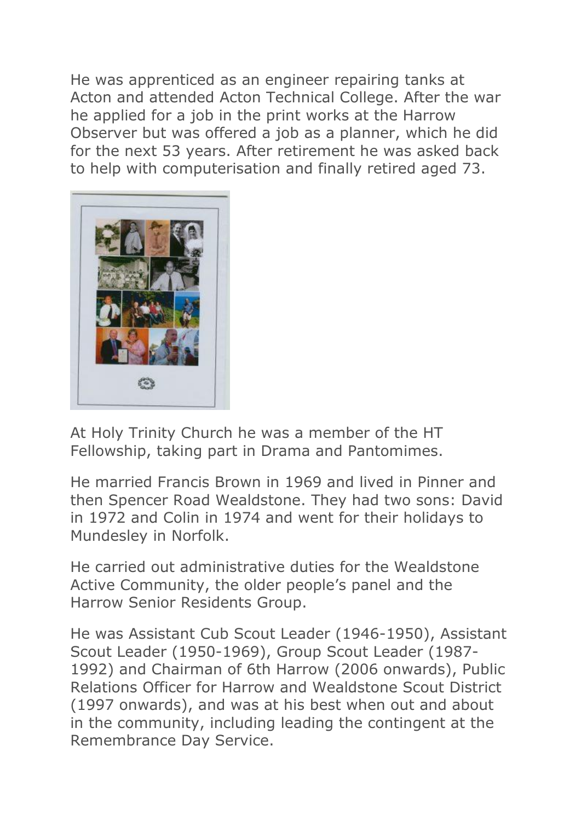He was apprenticed as an engineer repairing tanks at Acton and attended Acton Technical College. After the war he applied for a job in the print works at the Harrow Observer but was offered a job as a planner, which he did for the next 53 years. After retirement he was asked back to help with computerisation and finally retired aged 73.



At Holy Trinity Church he was a member of the HT Fellowship, taking part in Drama and Pantomimes.

He married Francis Brown in 1969 and lived in Pinner and then Spencer Road Wealdstone. They had two sons: David in 1972 and Colin in 1974 and went for their holidays to Mundesley in Norfolk.

He carried out administrative duties for the Wealdstone Active Community, the older people's panel and the Harrow Senior Residents Group.

He was Assistant Cub Scout Leader (1946-1950), Assistant Scout Leader (1950-1969), Group Scout Leader (1987- 1992) and Chairman of 6th Harrow (2006 onwards), Public Relations Officer for Harrow and Wealdstone Scout District (1997 onwards), and was at his best when out and about in the community, including leading the contingent at the Remembrance Day Service.